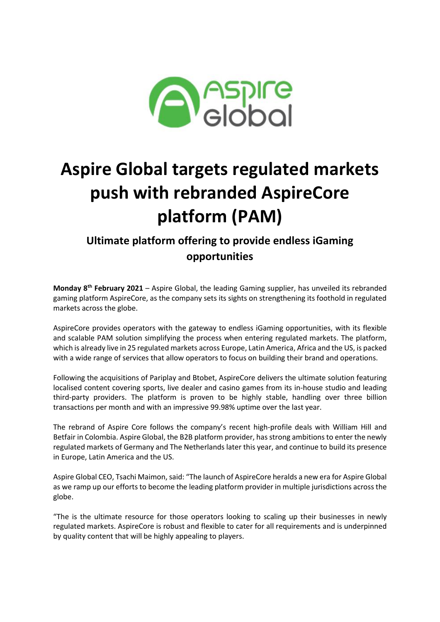

# **Aspire Global targets regulated markets push with rebranded AspireCore platform (PAM)**

## **Ultimate platform offering to provide endless iGaming opportunities**

**Monday 8th February 2021** – Aspire Global, the leading Gaming supplier, has unveiled its rebranded gaming platform AspireCore, as the company sets its sights on strengthening its foothold in regulated markets across the globe.

AspireCore provides operators with the gateway to endless iGaming opportunities, with its flexible and scalable PAM solution simplifying the process when entering regulated markets. The platform, which is already live in 25 regulated markets across Europe, Latin America, Africa and the US, is packed with a wide range of services that allow operators to focus on building their brand and operations.

Following the acquisitions of Pariplay and Btobet, AspireCore delivers the ultimate solution featuring localised content covering sports, live dealer and casino games from its in-house studio and leading third-party providers. The platform is proven to be highly stable, handling over three billion transactions per month and with an impressive 99.98% uptime over the last year.

The rebrand of Aspire Core follows the company's recent high-profile deals with William Hill and Betfair in Colombia. Aspire Global, the B2B platform provider, has strong ambitions to enter the newly regulated markets of Germany and The Netherlands later this year, and continue to build its presence in Europe, Latin America and the US.

Aspire Global CEO, Tsachi Maimon, said: "The launch of AspireCore heralds a new era for Aspire Global as we ramp up our efforts to become the leading platform provider in multiple jurisdictions across the globe.

"The is the ultimate resource for those operators looking to scaling up their businesses in newly regulated markets. AspireCore is robust and flexible to cater for all requirements and is underpinned by quality content that will be highly appealing to players.